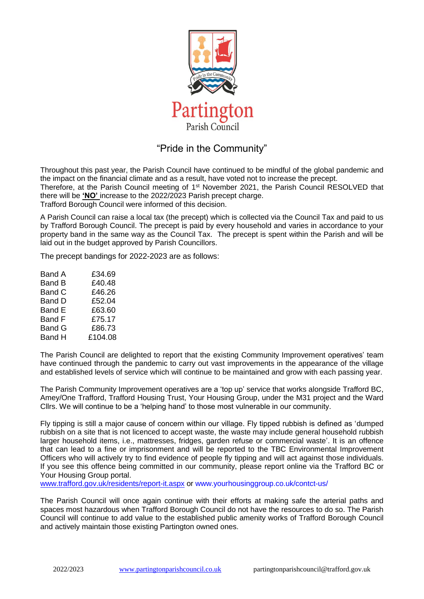

## "Pride in the Community"

Throughout this past year, the Parish Council have continued to be mindful of the global pandemic and the impact on the financial climate and as a result, have voted not to increase the precept. Therefore, at the Parish Council meeting of 1<sup>st</sup> November 2021, the Parish Council RESOLVED that there will be **'NO'** increase to the 2022/2023 Parish precept charge. Trafford Borough Council were informed of this decision.

A Parish Council can raise a local tax (the precept) which is collected via the Council Tax and paid to us by Trafford Borough Council. The precept is paid by every household and varies in accordance to your property band in the same way as the Council Tax. The precept is spent within the Parish and will be laid out in the budget approved by Parish Councillors.

The precept bandings for 2022-2023 are as follows:

| <b>Band A</b> | £34.69  |
|---------------|---------|
| Band B        | £40.48  |
| Band C        | £46.26  |
| Band D        | £52.04  |
| Band E        | £63.60  |
| Band F        | £75.17  |
| <b>Band G</b> | £86.73  |
| Band H        | £104.08 |

The Parish Council are delighted to report that the existing Community Improvement operatives' team have continued through the pandemic to carry out vast improvements in the appearance of the village and established levels of service which will continue to be maintained and grow with each passing year.

The Parish Community Improvement operatives are a 'top up' service that works alongside Trafford BC, Amey/One Trafford, Trafford Housing Trust, Your Housing Group, under the M31 project and the Ward Cllrs. We will continue to be a 'helping hand' to those most vulnerable in our community.

Fly tipping is still a major cause of concern within our village. Fly tipped rubbish is defined as 'dumped rubbish on a site that is not licenced to accept waste, the waste may include general household rubbish larger household items, i.e., mattresses, fridges, garden refuse or commercial waste'. It is an offence that can lead to a fine or imprisonment and will be reported to the TBC Environmental Improvement Officers who will actively try to find evidence of people fly tipping and will act against those individuals. If you see this offence being committed in our community, please report online via the Trafford BC or Your Housing Group portal.

[www.trafford.gov.uk/residents/report-it.aspx](http://www.trafford.gov.uk/residents/report-it.aspx) or [www.yourhousinggroup.co.uk/contct-us/](http://www.yourhousinggroup.co.uk/contct-us/)

The Parish Council will once again continue with their efforts at making safe the arterial paths and spaces most hazardous when Trafford Borough Council do not have the resources to do so. The Parish Council will continue to add value to the established public amenity works of Trafford Borough Council and actively maintain those existing Partington owned ones.